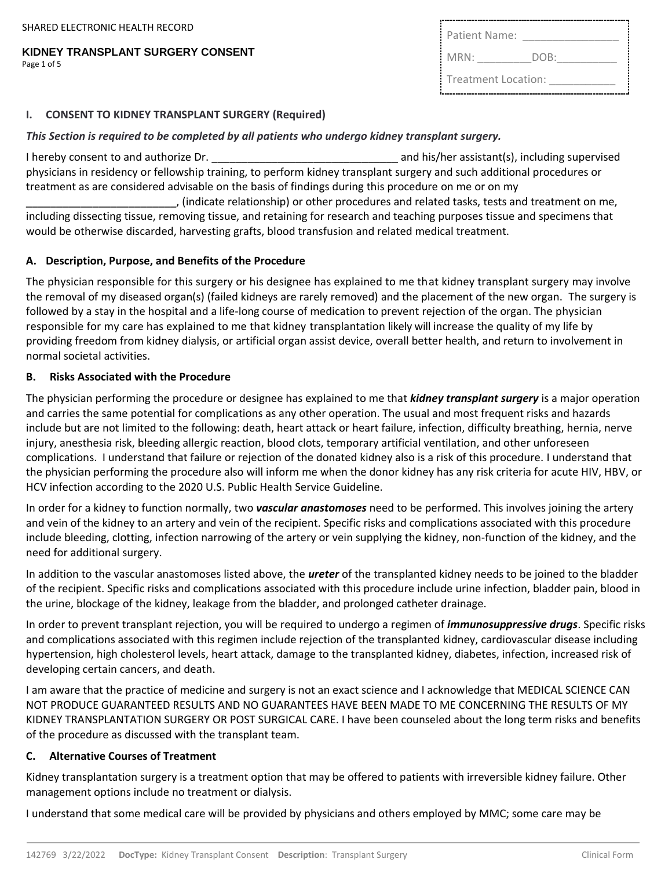#### **KIDNEY TRANSPLANT SURGERY CONSENT** Page 1 of 5

| Patient Name:       |      |
|---------------------|------|
| MRN:                | DOB: |
| Treatment Location: |      |

#### **I. CONSENT TO KIDNEY TRANSPLANT SURGERY (Required)**

#### *This Section is required to be completed by all patients who undergo kidney transplant surgery.*

I hereby consent to and authorize Dr. \_\_\_\_\_\_\_\_\_\_\_\_\_\_\_\_\_\_\_\_\_\_\_\_\_\_\_\_\_\_\_ and his/her assistant(s), including supervised physicians in residency or fellowship training, to perform kidney transplant surgery and such additional procedures or treatment as are considered advisable on the basis of findings during this procedure on me or on my

\_\_\_\_\_\_\_\_\_\_\_\_\_\_\_\_\_\_\_\_\_\_\_\_\_, (indicate relationship) or other procedures and related tasks, tests and treatment on me, including dissecting tissue, removing tissue, and retaining for research and teaching purposes tissue and specimens that would be otherwise discarded, harvesting grafts, blood transfusion and related medical treatment.

#### **A. Description, Purpose, and Benefits of the Procedure**

The physician responsible for this surgery or his designee has explained to me that kidney transplant surgery may involve the removal of my diseased organ(s) (failed kidneys are rarely removed) and the placement of the new organ. The surgery is followed by a stay in the hospital and a life-long course of medication to prevent rejection of the organ. The physician responsible for my care has explained to me that kidney transplantation likely will increase the quality of my life by providing freedom from kidney dialysis, or artificial organ assist device, overall better health, and return to involvement in normal societal activities.

#### **B. Risks Associated with the Procedure**

The physician performing the procedure or designee has explained to me that *kidney transplant surgery* is a major operation and carries the same potential for complications as any other operation. The usual and most frequent risks and hazards include but are not limited to the following: death, heart attack or heart failure, infection, difficulty breathing, hernia, nerve injury, anesthesia risk, bleeding allergic reaction, blood clots, temporary artificial ventilation, and other unforeseen complications. I understand that failure or rejection of the donated kidney also is a risk of this procedure. I understand that the physician performing the procedure also will inform me when the donor kidney has any risk criteria for acute HIV, HBV, or HCV infection according to the 2020 U.S. Public Health Service Guideline.

In order for a kidney to function normally, two *vascular anastomoses* need to be performed. This involves joining the artery and vein of the kidney to an artery and vein of the recipient. Specific risks and complications associated with this procedure include bleeding, clotting, infection narrowing of the artery or vein supplying the kidney, non-function of the kidney, and the need for additional surgery.

In addition to the vascular anastomoses listed above, the *ureter* of the transplanted kidney needs to be joined to the bladder of the recipient. Specific risks and complications associated with this procedure include urine infection, bladder pain, blood in the urine, blockage of the kidney, leakage from the bladder, and prolonged catheter drainage.

In order to prevent transplant rejection, you will be required to undergo a regimen of *immunosuppressive drugs*. Specific risks and complications associated with this regimen include rejection of the transplanted kidney, cardiovascular disease including hypertension, high cholesterol levels, heart attack, damage to the transplanted kidney, diabetes, infection, increased risk of developing certain cancers, and death.

I am aware that the practice of medicine and surgery is not an exact science and I acknowledge that MEDICAL SCIENCE CAN NOT PRODUCE GUARANTEED RESULTS AND NO GUARANTEES HAVE BEEN MADE TO ME CONCERNING THE RESULTS OF MY KIDNEY TRANSPLANTATION SURGERY OR POST SURGICAL CARE. I have been counseled about the long term risks and benefits of the procedure as discussed with the transplant team.

### **C. Alternative Courses of Treatment**

Kidney transplantation surgery is a treatment option that may be offered to patients with irreversible kidney failure. Other management options include no treatment or dialysis.

I understand that some medical care will be provided by physicians and others employed by MMC; some care may be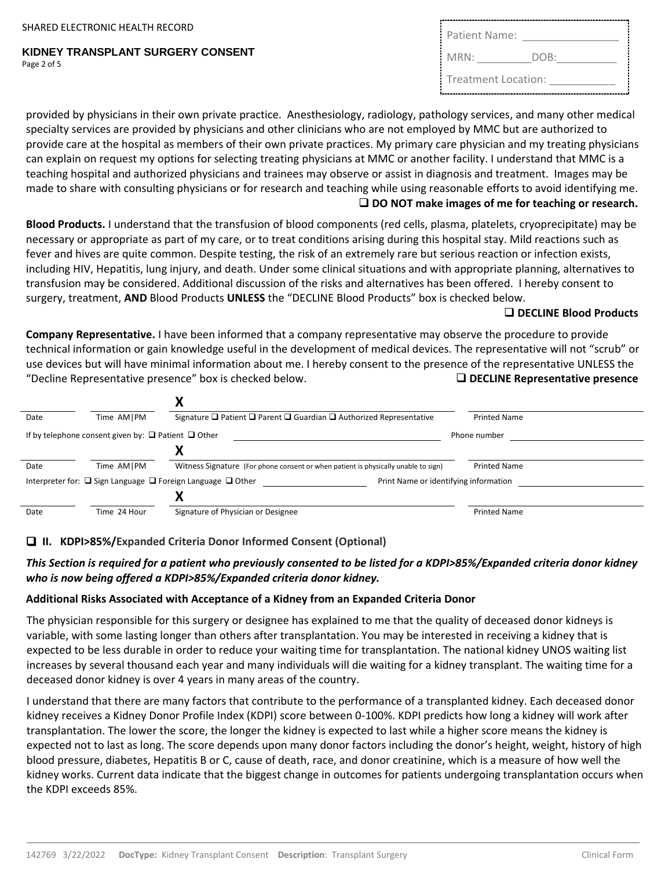**KIDNEY TRANSPLANT SURGERY CONSENT** Page 2 of 5

| Patient Name:       |      |
|---------------------|------|
| MRN:                | DOB: |
| Treatment Location: |      |

provided by physicians in their own private practice. Anesthesiology, radiology, pathology services, and many other medical specialty services are provided by physicians and other clinicians who are not employed by MMC but are authorized to provide care at the hospital as members of their own private practices. My primary care physician and my treating physicians can explain on request my options for selecting treating physicians at MMC or another facility. I understand that MMC is a teaching hospital and authorized physicians and trainees may observe or assist in diagnosis and treatment. Images may be made to share with consulting physicians or for research and teaching while using reasonable efforts to avoid identifying me. ❑ **DO NOT make images of me for teaching or research.**

**Blood Products.** I understand that the transfusion of blood components (red cells, plasma, platelets, cryoprecipitate) may be necessary or appropriate as part of my care, or to treat conditions arising during this hospital stay. Mild reactions such as fever and hives are quite common. Despite testing, the risk of an extremely rare but serious reaction or infection exists, including HIV, Hepatitis, lung injury, and death. Under some clinical situations and with appropriate planning, alternatives to transfusion may be considered. Additional discussion of the risks and alternatives has been offered. I hereby consent to surgery, treatment, **AND** Blood Products **UNLESS** the "DECLINE Blood Products" box is checked below.

### ❑ **DECLINE Blood Products**

**Company Representative.** I have been informed that a company representative may observe the procedure to provide technical information or gain knowledge useful in the development of medical devices. The representative will not "scrub" or use devices but will have minimal information about me. I hereby consent to the presence of the representative UNLESS the "Decline Representative presence" box is checked below. ❑ **DECLINE Representative presence** 

| Date | Time AM   PM                                                  | Signature $\Box$ Patient $\Box$ Parent $\Box$ Guardian $\Box$ Authorized Representative                             | <b>Printed Name</b> |
|------|---------------------------------------------------------------|---------------------------------------------------------------------------------------------------------------------|---------------------|
|      | If by telephone consent given by: $\Box$ Patient $\Box$ Other |                                                                                                                     | Phone number        |
|      |                                                               |                                                                                                                     |                     |
| Date | Time AM   PM                                                  | Witness Signature (For phone consent or when patient is physically unable to sign)                                  | <b>Printed Name</b> |
|      |                                                               | Interpreter for: $\Box$ Sign Language $\Box$ Foreign Language $\Box$ Other<br>Print Name or identifying information |                     |
|      |                                                               |                                                                                                                     |                     |
| Date | Time 24 Hour                                                  | Signature of Physician or Designee                                                                                  | <b>Printed Name</b> |

### ❑ **II. KDPI>85%/Expanded Criteria Donor Informed Consent (Optional)**

### *This Section is required for a patient who previously consented to be listed for a KDPI>85%/Expanded criteria donor kidney who is now being offered a KDPI>85%/Expanded criteria donor kidney.*

### **Additional Risks Associated with Acceptance of a Kidney from an Expanded Criteria Donor**

The physician responsible for this surgery or designee has explained to me that the quality of deceased donor kidneys is variable, with some lasting longer than others after transplantation. You may be interested in receiving a kidney that is expected to be less durable in order to reduce your waiting time for transplantation. The national kidney UNOS waiting list increases by several thousand each year and many individuals will die waiting for a kidney transplant. The waiting time for a deceased donor kidney is over 4 years in many areas of the country.

I understand that there are many factors that contribute to the performance of a transplanted kidney. Each deceased donor kidney receives a Kidney Donor Profile Index (KDPI) score between 0-100%. KDPI predicts how long a kidney will work after transplantation. The lower the score, the longer the kidney is expected to last while a higher score means the kidney is expected not to last as long. The score depends upon many donor factors including the donor's height, weight, history of high blood pressure, diabetes, Hepatitis B or C, cause of death, race, and donor creatinine, which is a measure of how well the kidney works. Current data indicate that the biggest change in outcomes for patients undergoing transplantation occurs when the KDPI exceeds 85%.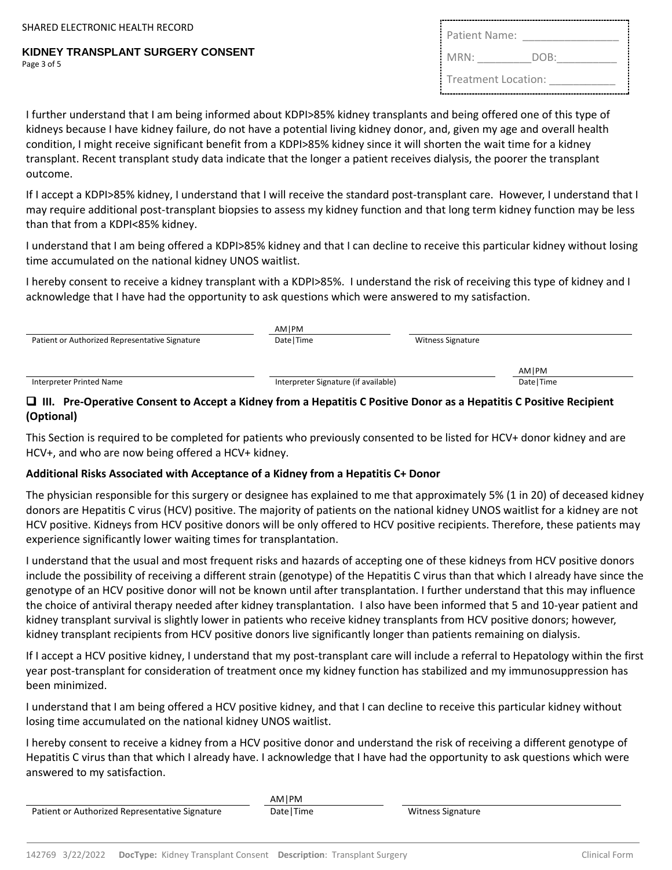#### **KIDNEY TRANSPLANT SURGERY CONSENT** Page 3 of 5

| Patient Name:       |      |
|---------------------|------|
| MRN:                | DOB: |
| Treatment Location: |      |

I further understand that I am being informed about KDPI>85% kidney transplants and being offered one of this type of kidneys because I have kidney failure, do not have a potential living kidney donor, and, given my age and overall health condition, I might receive significant benefit from a KDPI>85% kidney since it will shorten the wait time for a kidney transplant. Recent transplant study data indicate that the longer a patient receives dialysis, the poorer the transplant outcome.

If I accept a KDPI>85% kidney, I understand that I will receive the standard post-transplant care. However, I understand that I may require additional post-transplant biopsies to assess my kidney function and that long term kidney function may be less than that from a KDPI<85% kidney.

I understand that I am being offered a KDPI>85% kidney and that I can decline to receive this particular kidney without losing time accumulated on the national kidney UNOS waitlist.

I hereby consent to receive a kidney transplant with a KDPI>85%. I understand the risk of receiving this type of kidney and I acknowledge that I have had the opportunity to ask questions which were answered to my satisfaction.

| Patient or Authorized Representative Signature | AMIPM<br>Date   Time                 | <b>Witness Signature</b> |             |  |
|------------------------------------------------|--------------------------------------|--------------------------|-------------|--|
|                                                |                                      |                          | AMIPM       |  |
| Interpreter Printed Name                       | Interpreter Signature (if available) |                          | Date   Time |  |
|                                                |                                      |                          |             |  |

### ❑ **III. Pre-Operative Consent to Accept a Kidney from a Hepatitis C Positive Donor as a Hepatitis C Positive Recipient (Optional)**

This Section is required to be completed for patients who previously consented to be listed for HCV+ donor kidney and are HCV+, and who are now being offered a HCV+ kidney.

### **Additional Risks Associated with Acceptance of a Kidney from a Hepatitis C+ Donor**

The physician responsible for this surgery or designee has explained to me that approximately 5% (1 in 20) of deceased kidney donors are Hepatitis C virus (HCV) positive. The majority of patients on the national kidney UNOS waitlist for a kidney are not HCV positive. Kidneys from HCV positive donors will be only offered to HCV positive recipients. Therefore, these patients may experience significantly lower waiting times for transplantation.

I understand that the usual and most frequent risks and hazards of accepting one of these kidneys from HCV positive donors include the possibility of receiving a different strain (genotype) of the Hepatitis C virus than that which I already have since the genotype of an HCV positive donor will not be known until after transplantation. I further understand that this may influence the choice of antiviral therapy needed after kidney transplantation. I also have been informed that 5 and 10-year patient and kidney transplant survival is slightly lower in patients who receive kidney transplants from HCV positive donors; however, kidney transplant recipients from HCV positive donors live significantly longer than patients remaining on dialysis.

If I accept a HCV positive kidney, I understand that my post-transplant care will include a referral to Hepatology within the first year post-transplant for consideration of treatment once my kidney function has stabilized and my immunosuppression has been minimized.

I understand that I am being offered a HCV positive kidney, and that I can decline to receive this particular kidney without losing time accumulated on the national kidney UNOS waitlist.

I hereby consent to receive a kidney from a HCV positive donor and understand the risk of receiving a different genotype of Hepatitis C virus than that which I already have. I acknowledge that I have had the opportunity to ask questions which were answered to my satisfaction.

Patient or Authorized Representative Signature Date | Time Witness Signature Witness Signature

AM|PM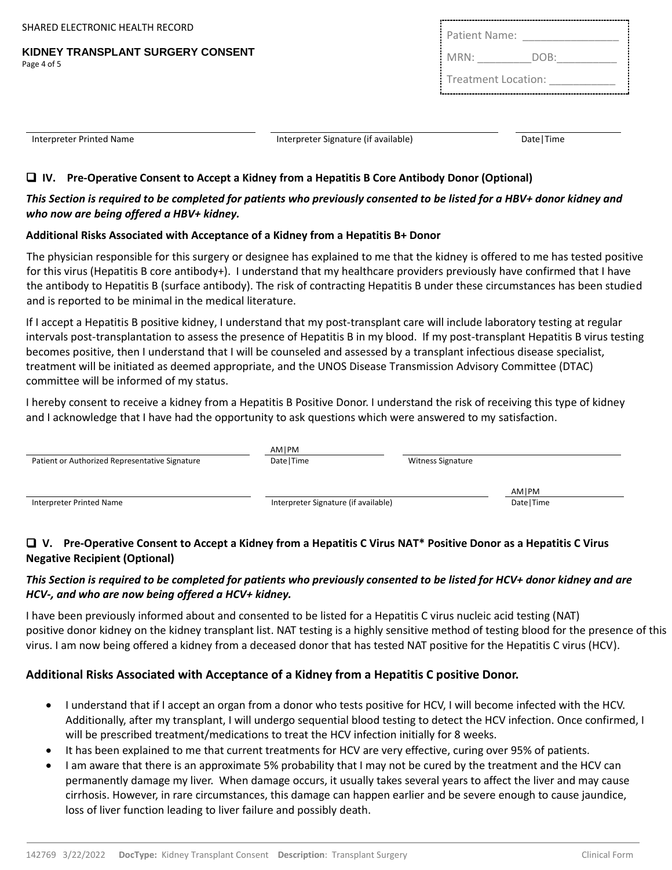SHARED ELECTRONIC HEALTH RECORD

**KIDNEY TRANSPLANT SURGERY CONSENT** Page 4 of 5

| Patient Name:       |      |
|---------------------|------|
| MRN:                | DOB: |
| Treatment Location: |      |

| Interpreter Printed Name | Interpreter Signature (if available) | Date   Time |
|--------------------------|--------------------------------------|-------------|
|                          |                                      |             |

# ❑ **IV. Pre-Operative Consent to Accept a Kidney from a Hepatitis B Core Antibody Donor (Optional)**

## *This Section is required to be completed for patients who previously consented to be listed for a HBV+ donor kidney and who now are being offered a HBV+ kidney.*

## **Additional Risks Associated with Acceptance of a Kidney from a Hepatitis B+ Donor**

The physician responsible for this surgery or designee has explained to me that the kidney is offered to me has tested positive for this virus (Hepatitis B core antibody+). I understand that my healthcare providers previously have confirmed that I have the antibody to Hepatitis B (surface antibody). The risk of contracting Hepatitis B under these circumstances has been studied and is reported to be minimal in the medical literature.

If I accept a Hepatitis B positive kidney, I understand that my post-transplant care will include laboratory testing at regular intervals post-transplantation to assess the presence of Hepatitis B in my blood. If my post-transplant Hepatitis B virus testing becomes positive, then I understand that I will be counseled and assessed by a transplant infectious disease specialist, treatment will be initiated as deemed appropriate, and the UNOS Disease Transmission Advisory Committee (DTAC) committee will be informed of my status.

I hereby consent to receive a kidney from a Hepatitis B Positive Donor. I understand the risk of receiving this type of kidney and I acknowledge that I have had the opportunity to ask questions which were answered to my satisfaction.

|                                                | AMIPM                                |                          |             |  |
|------------------------------------------------|--------------------------------------|--------------------------|-------------|--|
| Patient or Authorized Representative Signature | Date   Time                          | <b>Witness Signature</b> |             |  |
|                                                |                                      |                          |             |  |
|                                                |                                      |                          | AM   PM     |  |
| Interpreter Printed Name                       | Interpreter Signature (if available) |                          | Date   Time |  |
|                                                |                                      |                          |             |  |

# ❑ **V. Pre-Operative Consent to Accept a Kidney from a Hepatitis C Virus NAT\* Positive Donor as a Hepatitis C Virus Negative Recipient (Optional)**

# *This Section is required to be completed for patients who previously consented to be listed for HCV+ donor kidney and are HCV-, and who are now being offered a HCV+ kidney.*

I have been previously informed about and consented to be listed for a Hepatitis C virus nucleic acid testing (NAT) positive donor kidney on the kidney transplant list. NAT testing is a highly sensitive method of testing blood for the presence of this virus. I am now being offered a kidney from a deceased donor that has tested NAT positive for the Hepatitis C virus (HCV).

# **Additional Risks Associated with Acceptance of a Kidney from a Hepatitis C positive Donor.**

- I understand that if I accept an organ from a donor who tests positive for HCV, I will become infected with the HCV. Additionally, after my transplant, I will undergo sequential blood testing to detect the HCV infection. Once confirmed, I will be prescribed treatment/medications to treat the HCV infection initially for 8 weeks.
- It has been explained to me that current treatments for HCV are very effective, curing over 95% of patients.
- I am aware that there is an approximate 5% probability that I may not be cured by the treatment and the HCV can permanently damage my liver. When damage occurs, it usually takes several years to affect the liver and may cause cirrhosis. However, in rare circumstances, this damage can happen earlier and be severe enough to cause jaundice, loss of liver function leading to liver failure and possibly death.